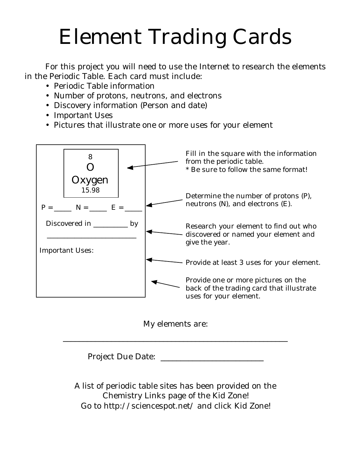## Element Trading Cards

For this project you will need to use the Internet to research the elements in the Periodic Table. Each card must include:

- Periodic Table information
- Number of protons, neutrons, and electrons
- Discovery information (Person and date)
- Important Uses
- Pictures that illustrate one or more uses for your element





\_\_\_\_\_\_\_\_\_\_\_\_\_\_\_\_\_\_\_\_\_\_\_\_\_\_\_\_\_\_\_\_\_\_\_\_\_\_\_\_\_\_\_\_\_\_\_\_\_\_\_\_\_\_\_\_

Project Due Date: \_\_\_\_\_\_\_\_\_\_\_\_\_\_\_\_\_\_\_\_\_\_\_\_\_\_

A list of periodic table sites has been provided on the Chemistry Links page of the Kid Zone! Go to <http://sciencespot.net/> and click Kid Zone!